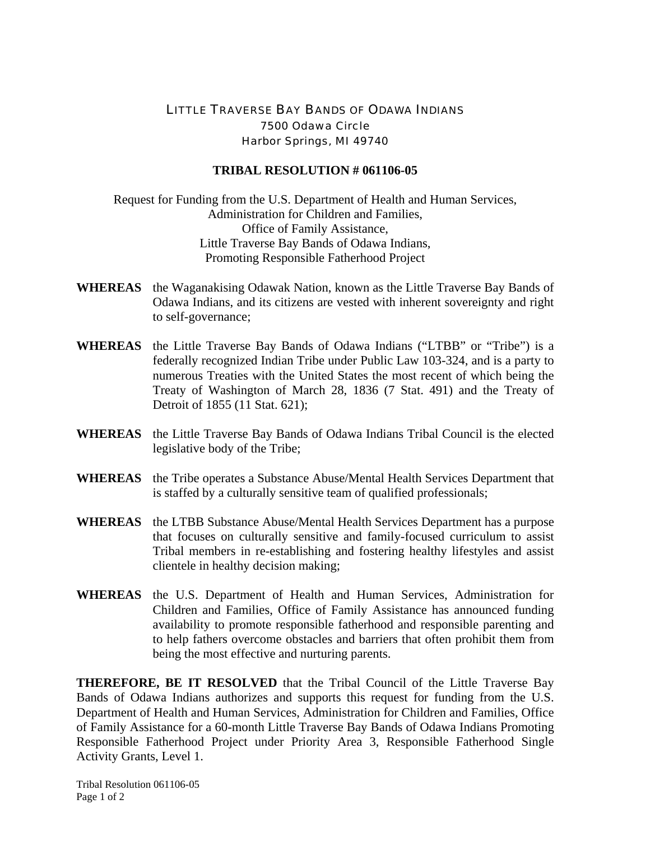## LITTLE TRAVERSE BAY BANDS OF ODAWA INDIANS 7500 Odawa Circle Harbor Springs, MI 49740

## **TRIBAL RESOLUTION # 061106-05**

Request for Funding from the U.S. Department of Health and Human Services, Administration for Children and Families, Office of Family Assistance, Little Traverse Bay Bands of Odawa Indians, Promoting Responsible Fatherhood Project

- **WHEREAS** the Waganakising Odawak Nation, known as the Little Traverse Bay Bands of Odawa Indians, and its citizens are vested with inherent sovereignty and right to self-governance;
- **WHEREAS** the Little Traverse Bay Bands of Odawa Indians ("LTBB" or "Tribe") is a federally recognized Indian Tribe under Public Law 103-324, and is a party to numerous Treaties with the United States the most recent of which being the Treaty of Washington of March 28, 1836 (7 Stat. 491) and the Treaty of Detroit of 1855 (11 Stat. 621);
- **WHEREAS** the Little Traverse Bay Bands of Odawa Indians Tribal Council is the elected legislative body of the Tribe;
- **WHEREAS** the Tribe operates a Substance Abuse/Mental Health Services Department that is staffed by a culturally sensitive team of qualified professionals;
- **WHEREAS** the LTBB Substance Abuse/Mental Health Services Department has a purpose that focuses on culturally sensitive and family-focused curriculum to assist Tribal members in re-establishing and fostering healthy lifestyles and assist clientele in healthy decision making;
- **WHEREAS** the U.S. Department of Health and Human Services, Administration for Children and Families, Office of Family Assistance has announced funding availability to promote responsible fatherhood and responsible parenting and to help fathers overcome obstacles and barriers that often prohibit them from being the most effective and nurturing parents.

**THEREFORE, BE IT RESOLVED** that the Tribal Council of the Little Traverse Bay Bands of Odawa Indians authorizes and supports this request for funding from the U.S. Department of Health and Human Services, Administration for Children and Families, Office of Family Assistance for a 60-month Little Traverse Bay Bands of Odawa Indians Promoting Responsible Fatherhood Project under Priority Area 3, Responsible Fatherhood Single Activity Grants, Level 1.